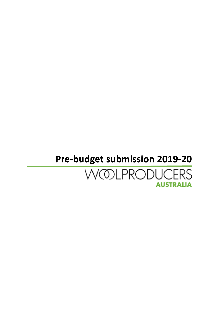### **Pre-budget submission 2019-20**

### **WOLPRODUCERS AUSTRALIA**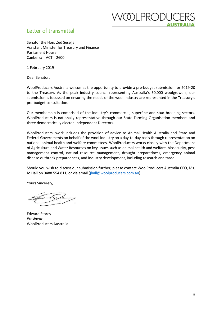### OLPRODUC AUSTRALI/

#### <span id="page-1-0"></span>Letter of transmittal

Senator the Hon. Zed Seselja Assistant Minister for Treasury and Finance Parliament House Canberra ACT 2600

1 February 2019

Dear Senator,

WoolProducers Australia welcomes the opportunity to provide a pre-budget submission for 2019-20 to the Treasury. As the peak industry council representing Australia's 60,000 woolgrowers, our submission is focussed on ensuring the needs of the wool industry are represented in the Treasury's pre-budget consultation.

Our membership is comprised of the industry's commercial, superfine and stud breeding sectors. WoolProducers is nationally representative through our State Farming Organisation members and three democratically elected Independent Directors.

WoolProducers' work includes the provision of advice to Animal Health Australia and State and Federal Governments on behalf of the wool industry on a day-to-day basis through representation on national animal health and welfare committees. WoolProducers works closely with the Department of Agriculture and Water Resources on key issues such as animal health and welfare, biosecurity, pest management control, natural resource management, drought preparedness, emergency animal disease outbreak preparedness, and industry development, including research and trade.

Should you wish to discuss our submission further, please contact WoolProducers Australia CEO, Ms. Jo Hall on 0488 554 811, or via email [\(jhall@woolproducers.com.au\)](mailto:jhall@woolproducers.com.au).

Yours Sincerely,

Edward Storey *President* WoolProducers Australia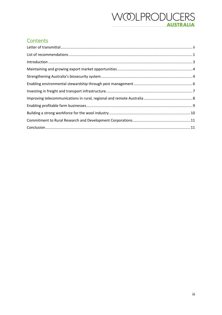### **WOLPRODUCERS AUSTRALIA**

### **Contents**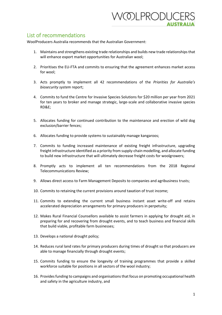### 'OLPRODUC **AUSTRAL**

### <span id="page-3-0"></span>List of recommendations

WoolProducers Australia recommends that the Australian Government:

- 1. Maintains and strengthens existing trade relationships and builds new trade relationships that will enhance export market opportunities for Australian wool;
- 2. Prioritises the EU-FTA and commits to ensuring that the agreement enhances market access for wool;
- 3. Acts promptly to implement all 42 recommendations of the *Priorities for Australia's biosecurity system* report;
- 4. Commits to fund the Centre for Invasive Species Solutions for \$20 million per year from 2021 for ten years to broker and manage strategic, large-scale and collaborative invasive species RD&E;
- 5. Allocates funding for continued contribution to the maintenance and erection of wild dog exclusion/barrier fences;
- 6. Allocates funding to provide systems to sustainably manage kangaroos;
- 7. Commits to funding increased maintenance of existing freight infrastructure, upgrading freight infrastructure identified as a priority from supply-chain modelling, and allocate funding to build new infrastructure that will ultimately decrease freight costs for woolgrowers;
- 8. Promptly acts to implement all ten recommendations from the 2018 Regional Telecommunications Review;
- 9. Allows direct access to Farm Management Deposits to companies and agribusiness trusts;
- 10. Commits to retaining the current provisions around taxation of trust income;
- 11. Commits to extending the current small business instant asset write-off and retains accelerated depreciation arrangements for primary producers in perpetuity;
- 12. Makes Rural Financial Counsellors available to assist farmers in applying for drought aid, in preparing for and recovering from drought events, and to teach business and financial skills that build viable, profitable farm businesses;
- 13. Develops a national drought policy;
- 14. Reduces rural land rates for primary producers during times of drought so that producers are able to manage financially through drought events;
- 15. Commits funding to ensure the longevity of training programmes that provide a skilled workforce suitable for positions in all sectors of the wool industry;
- 16. Provides funding to campaigns and organisations that focus on promoting occupational health and safety in the agriculture industry, and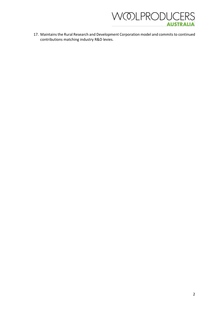

17. Maintains the Rural Research and Development Corporation model and commits to continued contributions matching industry R&D levies.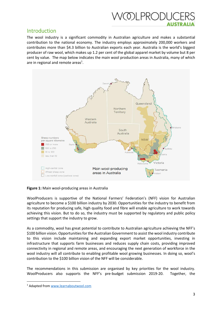

#### <span id="page-5-0"></span>Introduction

The wool industry is a significant commodity in Australian agriculture and makes a substantial contribution to the national economy. The industry employs approximately 200,000 workers and contributes more than \$4.3 billion to Australian exports each year. Australia is the world's biggest producer of raw wool, which makes up 1.2 per cent of the global apparel market by volume but 8 per cent by value. The map below indicates the main wool production areas in Australia, many of which are in regional and remote areas<sup>1</sup>.



**Figure 1:** Main wool-producing areas in Australia

WoolProducers is supportive of the National Farmers' Federation's (NFF) vision for Australian agriculture to become a \$100 billion industry by 2030. Opportunities for the industry to benefit from its reputation for producing safe, high quality food and fibre will enable agriculture to work towards achieving this vision. But to do so, the industry must be supported by regulatory and public policy settings that support the industry to grow.

As a commodity, wool has great potential to contribute to Australian agriculture achieving the NFF's \$100 billion vision. Opportunities for the Australian Government to assist the wool industry contribute to this vision include maintaining and expanding export market opportunities, investing in infrastructure that supports farm businesses and reduces supply chain costs, providing improved connectivity in regional and remote areas, and encouraging the next generation of workforce in the wool industry will all contribute to enabling profitable wool growing businesses. In doing so, wool's contribution to the \$100 billion vision of the NFF will be considerable.

The recommendations in this submission are organised by key priorities for the wool industry. WoolProducers also supports the NFF's pre-budget submission 2019-20. Together, the

<sup>1</sup> Adapted fro[m www.learnaboutwool.com](http://www.learnaboutwool.com/)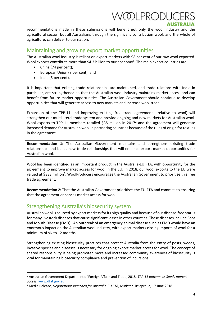### /OLPRODU

recommendations made in these submissions will benefit not only the wool industry and the agricultural sector, but all Australians through the significant contribution wool, and the whole of agriculture, can deliver to our nation.

#### <span id="page-6-0"></span>Maintaining and growing export market opportunities

The Australian wool industry is reliant on export markets with 98 per cent of our raw wool exported. Wool exports contribute more than \$4.3 billion to our economy<sup>1</sup>. The main export countries are:

- China (74 per cent);
- European Union (8 per cent), and
- India (5 per cent).

**.** 

It is important that existing trade relationships are maintained, and trade relations with India in particular, are strengthened so that the Australian wool industry maintains market access and can benefit from future market opportunities. The Australian Government should continue to develop opportunities that will generate access to new markets and increase wool trade.

Expansion of the TPP-11 and improving existing free trade agreements (relative to wool) will strengthen our multilateral trade system and provide ongoing and new markets for Australian wool. Wool exports to TPP-11 members totalled \$35 million in 2017<sup>2</sup> and the agreement will generate increased demand for Australian wool in partnering countries because of the rules of origin for textiles in the agreement.

**Recommendation 1:** The Australian Government maintains and strengthens existing trade relationships and builds new trade relationships that will enhance export market opportunities for Australian wool.

Wool has been identified as an important product in the Australia-EU FTA, with opportunity for the agreement to improve market access for wool in the EU. In 2018, our wool exports to the EU were valued at \$333 million<sup>3</sup>. WoolProducers encourages the Australian Government to prioritise this free trade agreement.

**Recommendation 2:** That the Australian Government prioritises the EU-FTA and commits to ensuring that the agreement enhances market access for wool.

### <span id="page-6-1"></span>Strengthening Australia's biosecurity system

Australian wool is sourced by export markets for its high quality and because of our disease-free status for many livestock diseases that cause significant losses in other counties. These diseases include Foot and Mouth Disease (FMD). An outbreak of an emergency animal disease such as FMD would have an enormous impact on the Australian wool industry, with export markets closing imports of wool for a minimum of six to 12 months.

Strengthening existing biosecurity practices that protect Australia from the entry of pests, weeds, invasive species and diseases is necessary for ongoing export market access for wool. The concept of shared responsibility is being promoted more and increased community awareness of biosecurity is vital for maintaining biosecurity compliance and prevention of incursions.

<sup>2</sup> Australian Government Department of Foreign Affairs and Trade, 2018, *TPP-11 outcomes: Goods market access*, [www.dfat.gov.au](http://www.dfat.gov.au/)

<sup>3</sup> Media Release, *Negotiations launched for Australia-EU FTA*, Minister Littleproud, 17 June 2018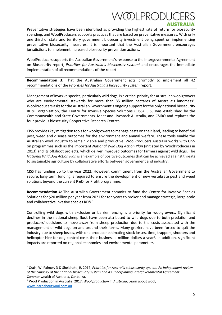## /OLPRODU

Preventative strategies have been identified as providing the highest rate of return for biosecurity spending, and WoolProducers supports practices that are based on preventative measures. With only one third of state and territory government biosecurity investment being spent on implementing preventative biosecurity measures, it is important that the Australian Government encourages jurisdictions to implement increased biosecurity prevention actions.

WoolProducers supports the Australian Government's response to the Intergovernmental Agreement on Biosecurity report, *Priorities for Australia's biosecurity system<sup>4</sup>* and encourages the immediate implementation of all recommendations of the report.

**Recommendation 3:** That the Australian Government acts promptly to implement all 42 recommendations of the *Priorities for Australia's biosecurity system* report.

Management of invasive species, particularly wild dogs, is a critical priority for Australian woolgrowers who are environmental stewards for more than 85 million hectares of Australia's landmass<sup>5</sup>. WoolProducers asks for the Australian Government's ongoing support for the only national biosecurity RD&E organisation, the Centre for Invasive Species Solutions (CISS). CISS was established by the Commonwealth and State Governments, Meat and Livestock Australia, and CSIRO and replaces the four previous biosecurity Cooperative Research Centres.

CISS provides key mitigation tools for woolgrowers to manage pests on their land, leading to beneficial pest, weed and disease outcomes for the environment and animal welfare. These tools enable the Australian wool industry to remain viable and productive. WoolProducers Australia works with CISS on programmes such as the important *National Wild Dog Action Plan* (initiated by WoolProducers in 2013) and its offshoot projects, which deliver improved outcomes for farmers against wild dogs. The *National Wild Dog Action Plan* is an example of positive outcomesthat can be achieved against threats to sustainable agriculture by collaborative efforts between government and industry.

CISS has funding up to the year 2022. However, commitment from the Australian Government to secure, long-term funding is required to ensure the development of new vertebrate pest and weed solutions beyond the current R&D for Profit programme.

**Recommendation 4:** The Australian Government commits to fund the Centre for Invasive Species Solutions for \$20 million per year from 2021 for ten years to broker and manage strategic, large-scale and collaborative invasive species RD&E.

Controlling wild dogs with exclusion or barrier fencing is a priority for woolgrowers. Significant declines in the national sheep flock have been attributed to wild dogs due to both predation and producers' decisions to move away from sheep production due to the costs associated with the management of wild dogs on and around their farms. Many graziers have been forced to quit the industry due to sheep losses, with one producer estimating stock losses, time, trappers, shooters and helicopter hire for dog control costs their business a million dollars a year<sup>6</sup>. In addition, significant impacts are reported on regional economies and environmental parameters.

<sup>5</sup> Wool Production in Australia, 2017, *Wool production in Australia*, Learn about wool, [www.learnaboutwool.com.au](http://www.learnaboutwool.com.au/) 

<sup>4</sup> Craik, W, Palmer, D & Sheldrake, R, 2017, *Priorities for Australia's biosecurity system: An independent review of the capacity of the national biosecurity system and its underpinning Intergovernmental Agreement*, Commonwealth of Australia, Canberra.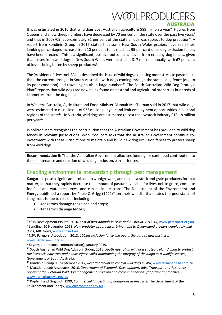# /OLPRODL

It was estimated in 2016 that wild dogs cost Australian agriculture \$89 million a year<sup>6</sup>. Figures from Queensland show sheep numbers have decreased by 70 per cent in the state over the past five years<sup>7</sup> and that in 2008/09, approximately 91 per cent of the state's flock was subject to dog predation<sup>6</sup>. A report from Kondinin Group in 2016 stated that some New South Wales graziers have seen their lambing percentages increase from 10 per cent to as much as 95 per cent once dog exclusion fences have been erected<sup>8</sup>. This is a significant, positive outcome achieved from erecting dog fences, given that losses from wild dogs in New South Wales were costed at \$17 million annually, with 67 per cent of losses being borne by sheep producers<sup>6</sup>.

The President of Livestock SA has described the issue of wild dogs as causing more stress to pastoralists than the current drought in South Australia, with dogs coming through the state's dog fence (due to its poor condition) and travelling south in large numbers<sup>9</sup>. The South Australian Wild Dog Strategic Plan<sup>10</sup> reports that wild dogs are now being found on pastoral and agricultural properties hundreds of kilometres from the dog fence.

In Western Australia, Agriculture and Food Minister Alannah MacTiernan said in 2017 that wild dogs were estimated to cause losses of \$25 million per year and limit employment opportunities in pastoral regions of the state<sup>11</sup>. In Victoria, wild dogs are estimated to cost the livestock industry \$13-18 million per year<sup>12</sup>.

WoolProducers recognises the contribution that the Australian Government has provided to wild dog fences in relevant jurisdictions. WoolProducers asks that the Australian Government continue coinvestment with these jurisdictions to maintain and build new dog exclusion fences to protect sheep from wild dogs.

**Recommendation 5:** That the Australian Government allocates funding for continued contribution to the maintenance and erection of wild dog exclusion/barrier fences.

### <span id="page-8-0"></span>Enabling environmental stewardship through pest management

Kangaroos pose a significant problem to woolgrowers, and most livestock and grain producersfor that matter, in that they rapidly decrease the amount of pasture available for livestock to graze, compete for feed and water resources, and can decimate crops. The Department of the Environment and Energy published a report by Pople & Grigg  $(1999)^{13}$  on their website that states the pest status of kangaroos is due to reasons including:

- Kangaroos damage rangeland and crops;
- Kangaroos damage fences;

[www.nswfarmers.org.au](http://www.nswfarmers.org.au/)

1

<sup>6</sup> eSYS Development Pty Ltd, 2016, *Cost of pest animals in NSW and Australia, 2013-14*, [www.pestsmart.org.au](http://www.pestsmart.org.au/) 7 Landline, 20 November 2018, *New predator-proof fences bring hope to Queensland graziers crippled by wild dogs*, ABC News, [www.abc.net.au](http://www.abc.net.au/)

<sup>8</sup> NSW Farmers' Association, 2018, *100km exclusion fence line opens the gate to new business*,

<sup>9</sup> Keynes, J. (personal communication), January 2019.

<sup>10</sup> South Australian Wild Dog Advisory Group, 2016, *South Australian wild dog strategic plan: A plan to protect the livestock industries and public safety whilst maintaining the integrity of the dingo as a wildlife species*, Government of South Australia.

<sup>&</sup>lt;sup>11</sup> Kondinin Group, 13 September 2017, Record amount to control wild dogs in WA, [www.farminahead.com.au](http://www.farminahead.com.au/) <sup>12</sup> Marsden Jacob Associates, 2016, *Department of Economic Development, Jobs, Transport and Resources* 

*review of the Victorian Wild Dog management program and recommendations for future approaches*, [www.agriculture.vic.gov.au](http://www.agriculture.vic.gov.au/)

<sup>13</sup> Pople, T and Grigg, G., 1999, *Commercial harvesting of Kangaroos in* Australia, The Department of the Environment and Energy, [ww.environment.gov.au](http://www.environment.gov.au/)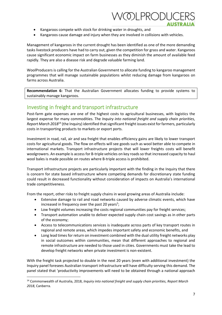

- Kangaroos compete with stock for drinking water in droughts, and
- Kangaroos cause damage and injury when they are involved in collisions with vehicles.

Management of kangaroos in the current drought has been identified as one of the more demanding tasks livestock producers have had to carry out, given the competition for grass and water. Kangaroos cause significant economic impact on farm businesses as they diminish the amount of available feed rapidly. They are also a disease risk and degrade valuable farming land.

WoolProducers is calling for the Australian Government to allocate funding to kangaroo management programmes that will manage sustainable populations whilst reducing damage from kangaroos on farms across Australia.

**Recommendation 6:** That the Australian Government allocates funding to provide systems to sustainably manage kangaroos.

#### <span id="page-9-0"></span>Investing in freight and transport infrastructure

Post-farm gate expenses are one of the highest costs to agricultural businesses, with logistics the largest expense for many commodities. The *Inquiry into national freight and supply chain priorities, Report March 2018*<sup>14</sup> (the Inquiry) identified that significant freight issues exist for farmers, particularly costs in transporting products to markets or export ports.

Investment in road, rail, air and sea freight that enables efficiency gains are likely to lower transport costs for agricultural goods. The flow on effects will see goods such as wool better able to compete in international markets. Transport infrastructure projects that will lower freights costs will benefit woolgrowers. An example is access for B-triple vehicles on key roads so that increased capacity to haul wool bales is made possible on routes where B-triple access is prohibited.

Transport infrastructure projects are particularly important with the finding in the Inquiry that there is concern for state based infrastructure where competing demands for discretionary state funding could result in decreased functionality without consideration of impacts on Australia's international trade competitiveness.

From the report, other risks to freight supply chains in wool growing areas of Australia include:

- Extensive damage to rail and road networks caused by adverse climatic events, which have increased in frequency over the past 20 years<sup>5</sup>;
- Low freight volumes increasing the costs regional communities pay for freight services;
- Transport automation unable to deliver expected supply chain cost savings as in other parts of the economy;
- Access to telecommunications services is inadequate across parts of key transport routes in regional and remote areas, which impedes important safety and economic benefits, and
- Long lead times for return on investment combined with the dual utility freight networks play in social outcomes within communities, mean that different approaches to regional and remote infrastructure are needed to those used in cities. Governments must take the lead to develop freight networks when private investment is non-existent.

With the freight task projected to double in the next 20 years (even with additional investment) the Inquiry panel foresees Australian transport infrastructure will have difficulty serving this demand. The panel stated that 'productivity improvements will need to be obtained through a national approach

1

<sup>14</sup> Commonwealth of Australia, 2018, *Inquiry into national freight and supply chain priorities, Report March 2018*, Canberra.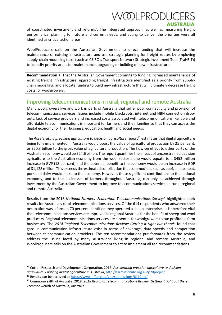## 'OLPRODL

of coordinated investment and reforms'. The integrated approach, as well as measuring freight performance, planning for future and current needs, and acting to deliver the priorities were all identified as critical action areas.

WoolProducers calls on the Australian Government to direct funding that will increase the maintenance of existing infrastructure and use strategic planning for freight routes by employing supply-chain modelling tools (such as CSIRO's Transport Network Strategic Investment Tool (TraNSIT)) to identify priority areas for maintenance, upgrading or building of new infrastructure.

**Recommendation 7:** That the Australian Government commits to funding increased maintenance of existing freight infrastructure, upgrading freight infrastructure identified as a priority from supplychain modelling, and allocate funding to build new infrastructure that will ultimately decrease freight costs for woolgrowers.

### <span id="page-10-0"></span>Improving telecommunications in rural, regional and remote Australia

Many woolgrowers live and work in parts of Australia that suffer poor connectivity and provision of telecommunications services. Issues include mobile blackspots, internet and NBN connection dropouts, lack of service providers and increased costs associated with telecommunications. Reliable and affordable telecommunications is important for farmers and their families so that they can access the digital economy for their business, education, health and social needs.

The *Accelerating precision agriculture to decision agriculture* report<sup>15</sup> estimates that digital agriculture being fully implemented in Australia would boost the value of agricultural production by 25 per cent, or \$20.3 billion to the gross value of agricultural production. The flow-on effect to other parts of the Australian economy would be \$24.6 billion. The report quantifies the impact of unconstrained decision agriculture to the Australian economy from the wool sector alone would equate to a \$452 million increase in GVP (18 per cent) and the potential benefit to the economy would be an increase in GDP of \$1,128 million. This exceeds the estimated contribution that commodities such as beef, sheep meat, pork and dairy would make to the economy. However, these significant contributions to the national economy, and to the businesses of farmers throughout Australia, can only be achieved through investment by the Australian Government to improve telecommunications services in rural, regional and remote Australia.

Results from the 2018 *National Farmers' Federation Telecommunications Survey<sup>16</sup>* highlighted stark results for Australia's rural telecommunications services. Of the 614 respondents who answered their occupation was a farmer, 70 per cent identified they operated a sheep enterprise. It is therefore vital that telecommunications services are improved in regional Australia for the benefit of sheep and wool producers. Regional telecommunications services are essential for woolgrowers to run profitable farm businesses. The *2018 Regional Telecommunications Review: Getting it right out there*<sup>17</sup> found that gaps in communication infrastructure exist in terms of coverage, data speeds and competition between telecommunication providers. The ten recommendations put forwards from the review address the issues faced by many Australians living in regional and remote Australia, and WoolProducers calls on the Australian Government to act to implement all ten recommendations.

<sup>15</sup> Cotton Research and Development Corporation, 2017, *Accelerating precision agriculture to decision agriculture: Enabling digital agriculture in Australia*,<http://farminstitute.org.au/p2dproject>

<sup>&</sup>lt;sup>16</sup> Results can be accessed at<https://www.nff.org.au/get/submissions/6119.pdf>

<sup>17</sup> Commonwealth of Australia, 2018, *2018 Regional Telecommunications Review: Getting it right out there*, Commonwealth of Australia, Australia.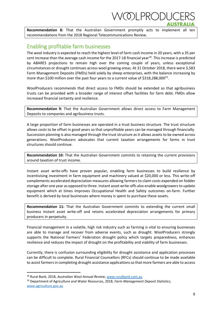'OLPRODU

**Recommendation 8:** That the Australian Government promptly acts to implement all ten recommendations from the 2018 Regional Telecommunications Review.

#### <span id="page-11-0"></span>Enabling profitable farm businesses

The wool industry is expected to reach the highest level of farm cash income in 20 years, with a 35 per cent increase than the average cash income for the 2017-18 financial year<sup>18</sup>. This increase is predicted by ABARES projections to remain high over the coming couple of years, unless exceptional circumstances or drought continues across wool growing areas. At 31 October 2018, there were 3,583 Farm Management Deposits (FMDs) held solely by sheep enterprises, with the balance increasing by more than \$100 million over the past four years to a current value of \$318,288,000<sup>19</sup>.

WoolProducers recommends that direct access to FMDs should be extended so that agribusiness trusts can be provided with a broader range of interest offset facilities for farm debt. FMDs allow increased financial certainty and resilience.

**Recommendation 9:** That the Australian Government allows direct access to Farm Management Deposits to companies and agribusiness trusts.

A large proportion of farm businesses are operated in a trust business structure. The trust structure allows costs to be offset in good years so that unprofitable years can be managed through financially. Succession planning is also managed through the trust structure as it allows assets to be owned across generations. WoolProducers advocates that current taxation arrangements for farms in trust structures should continue.

**Recommendation 10:** That the Australian Government commits to retaining the current provisions around taxation of trust income.

Instant asset write-offs have proven popular, enabling farm businesses to build resilience by incentivising investment in farm equipment and machinery valued at \$20,000 or less. This write-off complements accelerated depreciation measures allowing farmers to claim costs expended on fodder storage after one year as opposed to three. Instant asset write-offs also enable woolgrowers to update equipment which at times improves Occupational Health and Safety outcomes on-farm. Further benefit is derived by local businesses where money is spent to purchase these assets.

**Recommendation 11:** That the Australian Government commits to extending the current small business instant asset write-off and retains accelerated depreciation arrangements for primary producers in perpetuity.

Financial management in a volatile, high risk industry such as farming is vital to ensuring businesses are able to manage and recover from adverse events, such as drought. WoolProducers strongly supports the National Farmers' Federation drought policy which targets preparedness, enhances resilience and reduces the impact of drought on the profitability and viability of farm businesses.

Currently, there is confusion surrounding eligibility for drought assistance and application processes can be difficult to complete. Rural Financial Counsellors (RFCs) should continue to be made available to assist farmers in completing drought assistance applications so that more farmers are able to access

<sup>18</sup> Rural Bank, 2018, *Australian Wool Annual Review*[, www.ruralbank.com.au](http://www.ruralbank.com.au/)

<sup>19</sup> Department of Agriculture and Water Resources, 2018, *Farm Management Deposit Statistics*, [www.agriculture.gov.au](http://www.agriculture.gov.au/)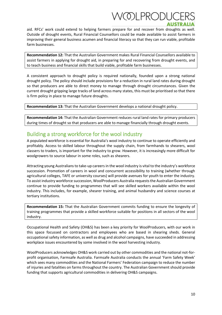# /OLPRODUC

aid. RFCs' work could extend to helping farmers prepare for and recover from droughts as well. Outside of drought events, Rural Financial Counsellors could be made available to assist farmers in improving their general business acumen and financial literacy so that they can run viable, profitable farm businesses.

**Recommendation 12:** That the Australian Government makes Rural Financial Counsellors available to assist farmers in applying for drought aid, in preparing for and recovering from drought events, and to teach business and financial skills that build viable, profitable farm businesses.

A consistent approach to drought policy is required nationally, founded upon a strong national drought policy. The policy should include provisions for a reduction in rural land rates during drought so that producers are able to direct money to manage through drought circumstances. Given the current drought gripping large tracks of land across many states, this must be prioritised so that there is firm policy in place to manage future droughts.

**Recommendation 13:** That the Australian Government develops a national drought policy.

**Recommendation 14:** That the Australian Government reduces rural land rates for primary producers during times of drought so that producers are able to manage financially through drought events.

### <span id="page-12-0"></span>Building a strong workforce for the wool industry

A populated workforce is essential for Australia's wool industry to continue to operate efficiently and profitably. Access to skilled labour throughout the supply chain, from farmhands to shearers, wool classers to traders, is important for the industry to grow. However, it is increasingly more difficult for woolgrowers to source labour in some roles, such as shearers.

Attracting young Australians to take-up careers in the wool industry is vital to the industry's workforce succession. Promotion of careers in wool and concurrent accessibility to training (whether through agricultural colleges, TAFE or university courses) will provide avenues for youth to enter the industry. To assist industry workforce succession, WoolProducers Australia requests the Australian Government continue to provide funding to programmes that will see skilled workers available within the wool industry. This includes, for example, shearer training, and animal husbandry and science courses at tertiary institutions.

**Recommendation 15:** That the Australian Government commits funding to ensure the longevity of training programmes that provide a skilled workforce suitable for positions in all sectors of the wool industry.

Occupational Health and Safety (OH&S) has been a key priority for WoolProducers, with our work in this space focussed on contractors and employees who are based in shearing sheds. General occupational safety information, as well as drug and alcohol campaigns, have succeeded in addressing workplace issues encountered by some involved in the wool harvesting industry.

WoolProducers acknowledges OH&S work carried out by other commodities and the national not-forprofit organisation, Farmsafe Australia. Farmsafe Australia conducts the annual 'Farm Safety Week' which sees many commodities and the National Farmers' Federation campaign to reduce the number of injuries and fatalities on farms throughout the country. The Australian Government should provide funding that supports agricultural commodities in delivering OH&S campaigns.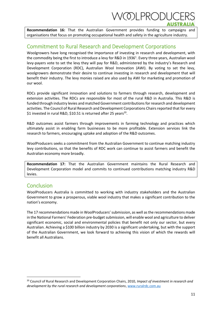# 'OLPRODU

**Recommendation 16:** That the Australian Government provides funding to campaigns and organisations that focus on promoting occupational health and safety in the agriculture industry.

#### <span id="page-13-0"></span>Commitment to Rural Research and Development Corporations

Woolgrowers have long recognised the importance of investing in research and development, with the commodity being the first to introduce a levy for R&D in 1936<sup>1</sup>. Every three years, Australian wool levy-payers vote to set the levy they will pay for R&D, administered by the industry's Research and Development Corporation (RDC), Australian Wool Innovation (AWI). By voting to set the levy, woolgrowers demonstrate their desire to continue investing in research and development that will benefit their industry. The levy monies raised are also used by AWI for marketing and promotion of our wool.

RDCs provide significant innovation and solutions to farmers through research, development and extension activities. The RDCs are responsible for most of the rural R&D in Australia. This R&D is funded through industry levies and matched Government contributionsfor research and development activities. The Council of Rural Research and Development Corporations Chairs reported that for every \$1 invested in rural R&D, \$10.51 is returned after 25 years<sup>20</sup>.

R&D outcomes assist farmers through improvements in farming technology and practices which ultimately assist in enabling farm businesses to be more profitable. Extension services link the research to farmers, encouraging uptake and adoption of the R&D outcomes.

WoolProducers seeks a commitment from the Australian Government to continue matching industry levy contributions, so that the benefits of RDC work can continue to assist farmers and benefit the Australian economy more broadly.

**Recommendation 17:** That the Australian Government maintains the Rural Research and Development Corporation model and commits to continued contributions matching industry R&D levies.

### <span id="page-13-1"></span>**Conclusion**

1

WoolProducers Australia is committed to working with industry stakeholders and the Australian Government to grow a prosperous, viable wool industry that makes a significant contribution to the nation's economy.

The 17 recommendations made in WoolProducers' submission, as well as the recommendations made in the National Farmers' Federation pre-budget submission, will enable wool and agriculture to deliver significant economic, social and environmental policies that benefit not only our sector, but every Australian. Achieving a \$100 billion industry by 2030 is a significant undertaking, but with the support of the Australian Government, we look forward to achieving this vision of which the rewards will benefit all Australians.

<sup>20</sup> Council of Rural Research and Development Corporation Chairs, 2010, *Impact of investment in research and development by the rural research and development corporations*, [www.ruralrdc.com.au](http://www.ruralrdc.com.au/)